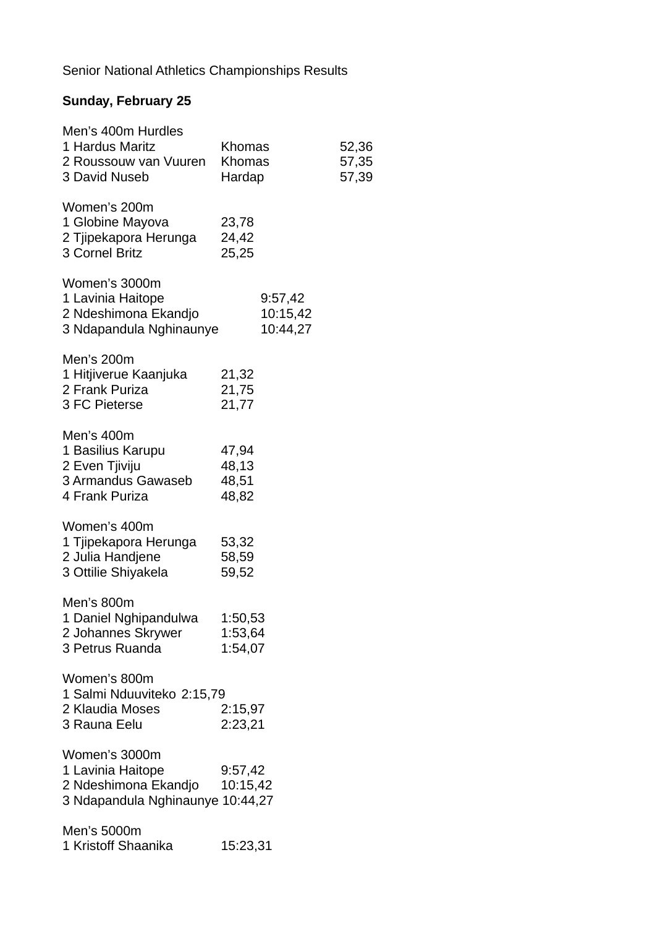# **Sunday, February 25**

| Men's 400m Hurdles<br>1 Hardus Maritz<br>2 Roussouw van Vuuren<br>3 David Nuseb                | Khomas<br>Khomas<br>Hardap       | 52,36<br>57,35<br>57,39 |
|------------------------------------------------------------------------------------------------|----------------------------------|-------------------------|
| Women's 200m<br>1 Globine Mayova<br>2 Tjipekapora Herunga<br>3 Cornel Britz                    | 23,78<br>24,42<br>25,25          |                         |
| Women's 3000m<br>1 Lavinia Haitope<br>2 Ndeshimona Ekandjo<br>3 Ndapandula Nghinaunye          | 9:57,42<br>10:15,42<br>10:44,27  |                         |
| Men's 200m<br>1 Hitjiverue Kaanjuka<br>2 Frank Puriza<br>3 FC Pieterse                         | 21,32<br>21,75<br>21,77          |                         |
| Men's 400m<br>1 Basilius Karupu<br>2 Even Tjiviju<br>3 Armandus Gawaseb<br>4 Frank Puriza      | 47,94<br>48,13<br>48,51<br>48,82 |                         |
| Women's 400m<br>1 Tjipekapora Herunga<br>2 Julia Handjene<br>3 Ottilie Shiyakela               | 53,32<br>58,59<br>59,52          |                         |
| Men's 800m<br>1 Daniel Nghipandulwa<br>2 Johannes Skrywer<br>3 Petrus Ruanda                   | 1:50,53<br>1:53,64<br>1:54,07    |                         |
| Women's 800m<br>1 Salmi Nduuviteko 2:15,79<br>2 Klaudia Moses<br>3 Rauna Eelu                  | 2:15,97<br>2:23,21               |                         |
| Women's 3000m<br>1 Lavinia Haitope<br>2 Ndeshimona Ekandjo<br>3 Ndapandula Nghinaunye 10:44,27 | 9:57,42<br>10:15,42              |                         |
| Men's 5000m<br>1 Kristoff Shaanika                                                             | 15:23,31                         |                         |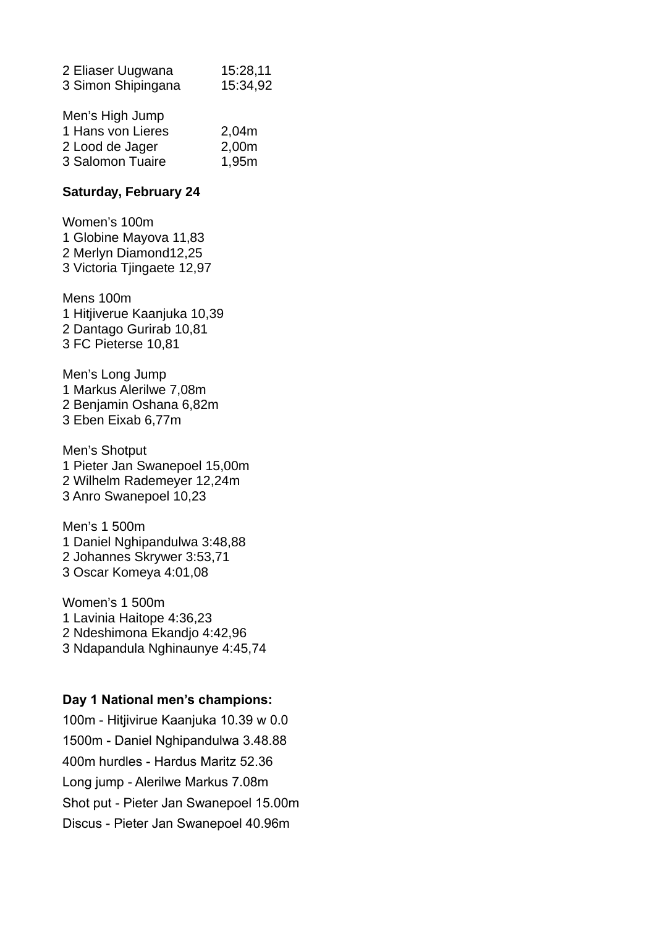| 2 Eliaser Uugwana  | 15:28,11 |
|--------------------|----------|
| 3 Simon Shipingana | 15:34,92 |
| Men's High Jump    |          |

| ivioli o Filgit Julip |       |
|-----------------------|-------|
| 1 Hans von Lieres     | 2,04m |
| 2 Lood de Jager       | 2,00m |
| 3 Salomon Tuaire      | 1,95m |

### **Saturday, February 24**

Women's 100m 1 Globine Mayova 11,83 2 Merlyn Diamond12,25 3 Victoria Tjingaete 12,97

Mens 100m 1 Hitjiverue Kaanjuka 10,39 2 Dantago Gurirab 10,81 3 FC Pieterse 10,81

Men's Long Jump 1 Markus Alerilwe 7,08m 2 Benjamin Oshana 6,82m 3 Eben Eixab 6,77m

Men's Shotput 1 Pieter Jan Swanepoel 15,00m 2 Wilhelm Rademeyer 12,24m 3 Anro Swanepoel 10,23

Men's 1 500m 1 Daniel Nghipandulwa 3:48,88 2 Johannes Skrywer 3:53,71 3 Oscar Komeya 4:01,08

Women's 1 500m 1 Lavinia Haitope 4:36,23 2 Ndeshimona Ekandjo 4:42,96 3 Ndapandula Nghinaunye 4:45,74

#### **Day 1 National men's champions:**

100m - Hitjivirue Kaanjuka 10.39 w 0.0 1500m - Daniel Nghipandulwa 3.48.88 400m hurdles - Hardus Maritz 52.36 Long jump - Alerilwe Markus 7.08m Shot put - Pieter Jan Swanepoel 15.00m Discus - Pieter Jan Swanepoel 40.96m